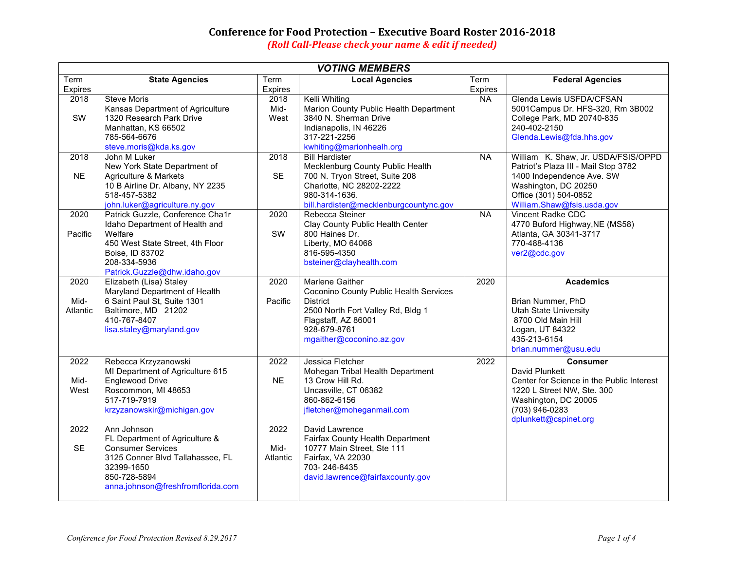## **Conference for Food Protection - Executive Board Roster 2016-2018**

*(Roll Call-Please check your name & edit if needed)* 

| <b>VOTING MEMBERS</b>    |                                                                                                                                                                                      |                          |                                                                                                                                                                                      |           |                                                                                                                                                                                         |
|--------------------------|--------------------------------------------------------------------------------------------------------------------------------------------------------------------------------------|--------------------------|--------------------------------------------------------------------------------------------------------------------------------------------------------------------------------------|-----------|-----------------------------------------------------------------------------------------------------------------------------------------------------------------------------------------|
| Term                     | <b>State Agencies</b>                                                                                                                                                                | Term                     | <b>Local Agencies</b>                                                                                                                                                                | Term      | <b>Federal Agencies</b>                                                                                                                                                                 |
| <b>Expires</b>           |                                                                                                                                                                                      | Expires                  |                                                                                                                                                                                      | Expires   |                                                                                                                                                                                         |
| 2018<br>SW               | <b>Steve Moris</b><br>Kansas Department of Agriculture<br>1320 Research Park Drive<br>Manhattan, KS 66502<br>785-564-6676<br>steve.moris@kda.ks.gov                                  | 2018<br>Mid-<br>West     | Kelli Whiting<br>Marion County Public Health Department<br>3840 N. Sherman Drive<br>Indianapolis, IN 46226<br>317-221-2256<br>kwhiting@marionhealh.org                               | <b>NA</b> | Glenda Lewis USFDA/CFSAN<br>5001Campus Dr. HFS-320, Rm 3B002<br>College Park, MD 20740-835<br>240-402-2150<br>Glenda.Lewis@fda.hhs.gov                                                  |
| 2018<br><b>NE</b>        | John M Luker<br>New York State Department of<br>Agriculture & Markets<br>10 B Airline Dr. Albany, NY 2235<br>518-457-5382<br>john.luker@agriculture.ny.gov                           | 2018<br><b>SE</b>        | <b>Bill Hardister</b><br>Mecklenburg County Public Health<br>700 N. Tryon Street, Suite 208<br>Charlotte, NC 28202-2222<br>980-314-1636.<br>bill.hardister@mecklenburgcountync.gov   | $N_A$     | William K. Shaw, Jr. USDA/FSIS/OPPD<br>Patriot's Plaza III - Mail Stop 3782<br>1400 Independence Ave. SW<br>Washington, DC 20250<br>Office (301) 504-0852<br>William.Shaw@fsis.usda.gov |
| 2020<br>Pacific          | Patrick Guzzle, Conference Cha1r<br>Idaho Department of Health and<br>Welfare<br>450 West State Street, 4th Floor<br>Boise, ID 83702<br>208-334-5936<br>Patrick.Guzzle@dhw.idaho.gov | 2020<br>SW               | Rebecca Steiner<br>Clay County Public Health Center<br>800 Haines Dr.<br>Liberty, MO 64068<br>816-595-4350<br>bsteiner@clayhealth.com                                                | $N_A$     | <b>Vincent Radke CDC</b><br>4770 Buford Highway, NE (MS58)<br>Atlanta, GA 30341-3717<br>770-488-4136<br>ver2@cdc.gov                                                                    |
| 2020<br>Mid-<br>Atlantic | Elizabeth (Lisa) Staley<br>Maryland Department of Health<br>6 Saint Paul St, Suite 1301<br>Baltimore, MD 21202<br>410-767-8407<br>lisa.staley@maryland.gov                           | 2020<br>Pacific          | Marlene Gaither<br>Coconino County Public Health Services<br><b>District</b><br>2500 North Fort Valley Rd, Bldg 1<br>Flagstaff, AZ 86001<br>928-679-8761<br>mgaither@coconino.az.gov | 2020      | <b>Academics</b><br>Brian Nummer, PhD<br><b>Utah State University</b><br>8700 Old Main Hill<br>Logan, UT 84322<br>435-213-6154<br>brian.nummer@usu.edu                                  |
| 2022<br>Mid-<br>West     | Rebecca Krzyzanowski<br>MI Department of Agriculture 615<br>Englewood Drive<br>Roscommon, MI 48653<br>517-719-7919<br>krzyzanowskir@michigan.gov                                     | 2022<br><b>NE</b>        | Jessica Fletcher<br>Mohegan Tribal Health Department<br>13 Crow Hill Rd.<br>Uncasville, CT 06382<br>860-862-6156<br>jfletcher@moheganmail.com                                        | 2022      | <b>Consumer</b><br>David Plunkett<br>Center for Science in the Public Interest<br>1220 L Street NW, Ste. 300<br>Washington, DC 20005<br>(703) 946-0283<br>dplunkett@cspinet.org         |
| 2022<br><b>SE</b>        | Ann Johnson<br>FL Department of Agriculture &<br><b>Consumer Services</b><br>3125 Conner Blvd Tallahassee, FL<br>32399-1650<br>850-728-5894<br>anna.johnson@freshfromflorida.com     | 2022<br>Mid-<br>Atlantic | David Lawrence<br>Fairfax County Health Department<br>10777 Main Street, Ste 111<br>Fairfax, VA 22030<br>703-246-8435<br>david.lawrence@fairfaxcounty.gov                            |           |                                                                                                                                                                                         |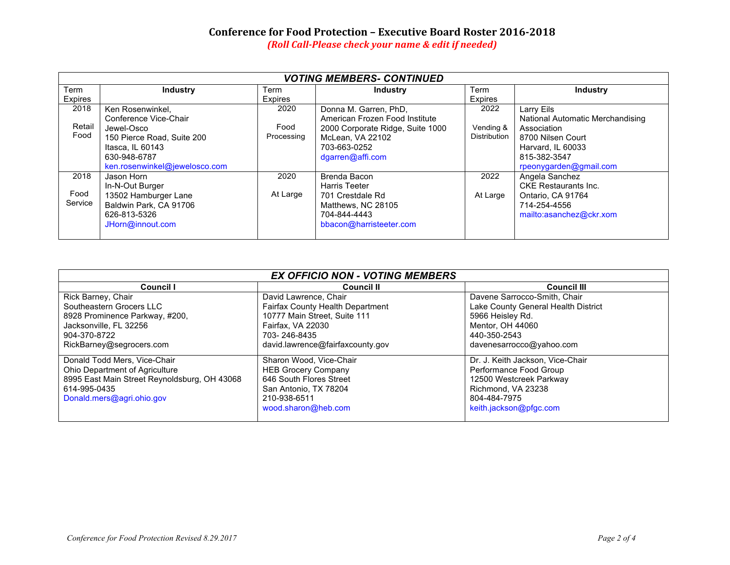## **Conference for Food Protection - Executive Board Roster 2016-2018**

*(Roll Call-Please check your name & edit if needed)* 

| <b>VOTING MEMBERS- CONTINUED</b> |                               |            |                                  |              |                                  |
|----------------------------------|-------------------------------|------------|----------------------------------|--------------|----------------------------------|
| Term                             | <b>Industry</b>               | Term       | <b>Industry</b>                  | Term         | <b>Industry</b>                  |
| Expires                          |                               | Expires    |                                  | Expires      |                                  |
| 2018                             | Ken Rosenwinkel,              | 2020       | Donna M. Garren, PhD.            | 2022         | Larry Eils                       |
|                                  | Conference Vice-Chair         |            | American Frozen Food Institute   |              | National Automatic Merchandising |
| Retail                           | Jewel-Osco                    | Food       | 2000 Corporate Ridge, Suite 1000 | Vending &    | Association                      |
| Food                             | 150 Pierce Road, Suite 200    | Processing | McLean, VA 22102                 | Distribution | 8700 Nilsen Court                |
|                                  | Itasca, IL 60143              |            | 703-663-0252                     |              | Harvard, IL 60033                |
|                                  | 630-948-6787                  |            | dgarren@affi.com                 |              | 815-382-3547                     |
|                                  | ken.rosenwinkel@jewelosco.com |            |                                  |              | rpeonygarden@gmail.com           |
| 2018                             | Jason Horn                    | 2020       | Brenda Bacon                     | 2022         | Angela Sanchez                   |
|                                  | In-N-Out Burger               |            | <b>Harris Teeter</b>             |              | <b>CKE</b> Restaurants Inc.      |
| Food                             | 13502 Hamburger Lane          | At Large   | 701 Crestdale Rd                 | At Large     | Ontario, CA 91764                |
| Service                          | Baldwin Park, CA 91706        |            | Matthews, NC 28105               |              | 714-254-4556                     |
|                                  | 626-813-5326                  |            | 704-844-4443                     |              | mailto:asanchez@ckr.xom          |
|                                  | JHorn@innout.com              |            | bbacon@harristeeter.com          |              |                                  |
|                                  |                               |            |                                  |              |                                  |

| <b>EX OFFICIO NON - VOTING MEMBERS</b>                                                                                                                      |                                                                                                                                                                    |                                                                                                                                                         |  |  |
|-------------------------------------------------------------------------------------------------------------------------------------------------------------|--------------------------------------------------------------------------------------------------------------------------------------------------------------------|---------------------------------------------------------------------------------------------------------------------------------------------------------|--|--|
| Council I                                                                                                                                                   | <b>Council II</b>                                                                                                                                                  | <b>Council III</b>                                                                                                                                      |  |  |
| Rick Barney, Chair<br>Southeastern Grocers LLC<br>8928 Prominence Parkway, #200,<br>Jacksonville, FL 32256<br>904-370-8722<br>RickBarney@segrocers.com      | David Lawrence, Chair<br>Fairfax County Health Department<br>10777 Main Street. Suite 111<br>Fairfax, VA 22030<br>703-246-8435<br>david.lawrence@fairfaxcounty.gov | Davene Sarrocco-Smith, Chair<br>Lake County General Health District<br>5966 Heisley Rd.<br>Mentor, OH 44060<br>440-350-2543<br>davenesarrocco@yahoo.com |  |  |
| Donald Todd Mers, Vice-Chair<br>Ohio Department of Agriculture<br>8995 East Main Street Reynoldsburg, OH 43068<br>614-995-0435<br>Donald.mers@agri.ohio.gov | Sharon Wood, Vice-Chair<br><b>HEB Grocery Company</b><br>646 South Flores Street<br>San Antonio, TX 78204<br>210-938-6511<br>wood.sharon@heb.com                   | Dr. J. Keith Jackson, Vice-Chair<br>Performance Food Group<br>12500 Westcreek Parkway<br>Richmond, VA 23238<br>804-484-7975<br>keith.jackson@pfgc.com   |  |  |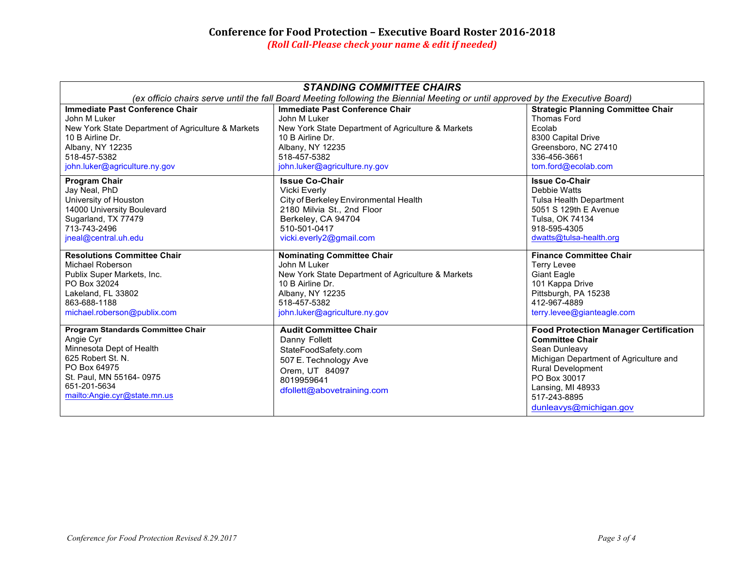| <b>STANDING COMMITTEE CHAIRS</b>                                                                                                                                                           |                                                                                                                                                             |                                                                                                                                                                                                                                              |  |  |
|--------------------------------------------------------------------------------------------------------------------------------------------------------------------------------------------|-------------------------------------------------------------------------------------------------------------------------------------------------------------|----------------------------------------------------------------------------------------------------------------------------------------------------------------------------------------------------------------------------------------------|--|--|
| (ex officio chairs serve until the fall Board Meeting following the Biennial Meeting or until approved by the Executive Board)                                                             |                                                                                                                                                             |                                                                                                                                                                                                                                              |  |  |
| Immediate Past Conference Chair                                                                                                                                                            | Immediate Past Conference Chair                                                                                                                             | <b>Strategic Planning Committee Chair</b>                                                                                                                                                                                                    |  |  |
| John M Luker                                                                                                                                                                               | John M Luker                                                                                                                                                | Thomas Ford                                                                                                                                                                                                                                  |  |  |
| New York State Department of Agriculture & Markets                                                                                                                                         | New York State Department of Agriculture & Markets                                                                                                          | Ecolab                                                                                                                                                                                                                                       |  |  |
| 10 B Airline Dr.                                                                                                                                                                           | 10 B Airline Dr.                                                                                                                                            | 8300 Capital Drive                                                                                                                                                                                                                           |  |  |
| Albany, NY 12235                                                                                                                                                                           | Albany, NY 12235                                                                                                                                            | Greensboro, NC 27410                                                                                                                                                                                                                         |  |  |
| 518-457-5382                                                                                                                                                                               | 518-457-5382                                                                                                                                                | 336-456-3661                                                                                                                                                                                                                                 |  |  |
| john.luker@agriculture.ny.gov                                                                                                                                                              | john.luker@agriculture.ny.gov                                                                                                                               | tom.ford@ecolab.com                                                                                                                                                                                                                          |  |  |
| <b>Program Chair</b>                                                                                                                                                                       | <b>Issue Co-Chair</b>                                                                                                                                       | <b>Issue Co-Chair</b>                                                                                                                                                                                                                        |  |  |
| Jay Neal, PhD                                                                                                                                                                              | <b>Vicki Everly</b>                                                                                                                                         | Debbie Watts                                                                                                                                                                                                                                 |  |  |
| University of Houston                                                                                                                                                                      | City of Berkeley Environmental Health                                                                                                                       | <b>Tulsa Health Department</b>                                                                                                                                                                                                               |  |  |
| 14000 University Boulevard                                                                                                                                                                 | 2180 Milvia St., 2nd Floor                                                                                                                                  | 5051 S 129th E Avenue                                                                                                                                                                                                                        |  |  |
| Sugarland, TX 77479                                                                                                                                                                        | Berkeley, CA 94704                                                                                                                                          | Tulsa, OK 74134                                                                                                                                                                                                                              |  |  |
| 713-743-2496                                                                                                                                                                               | 510-501-0417                                                                                                                                                | 918-595-4305                                                                                                                                                                                                                                 |  |  |
| jneal@central.uh.edu                                                                                                                                                                       | vicki.everly2@gmail.com                                                                                                                                     | dwatts@tulsa-health.org                                                                                                                                                                                                                      |  |  |
| <b>Resolutions Committee Chair</b>                                                                                                                                                         | <b>Nominating Committee Chair</b>                                                                                                                           | <b>Finance Committee Chair</b>                                                                                                                                                                                                               |  |  |
| Michael Roberson                                                                                                                                                                           | John M Luker                                                                                                                                                | <b>Terry Levee</b>                                                                                                                                                                                                                           |  |  |
| Publix Super Markets, Inc.                                                                                                                                                                 | New York State Department of Agriculture & Markets                                                                                                          | Giant Eagle                                                                                                                                                                                                                                  |  |  |
| PO Box 32024                                                                                                                                                                               | 10 B Airline Dr.                                                                                                                                            | 101 Kappa Drive                                                                                                                                                                                                                              |  |  |
| Lakeland, FL 33802                                                                                                                                                                         | Albany, NY 12235                                                                                                                                            | Pittsburgh, PA 15238                                                                                                                                                                                                                         |  |  |
| 863-688-1188                                                                                                                                                                               | 518-457-5382                                                                                                                                                | 412-967-4889                                                                                                                                                                                                                                 |  |  |
| michael.roberson@publix.com                                                                                                                                                                | john.luker@agriculture.ny.gov                                                                                                                               | terry.levee@gianteagle.com                                                                                                                                                                                                                   |  |  |
| Program Standards Committee Chair<br>Angie Cyr<br>Minnesota Dept of Health<br>625 Robert St. N.<br>PO Box 64975<br>St. Paul, MN 55164-0975<br>651-201-5634<br>mailto:Angie.cyr@state.mn.us | <b>Audit Committee Chair</b><br>Danny Follett<br>StateFoodSafety.com<br>507 E. Technology Ave<br>Orem, UT 84097<br>8019959641<br>dfollett@abovetraining.com | <b>Food Protection Manager Certification</b><br><b>Committee Chair</b><br>Sean Dunleavy<br>Michigan Department of Agriculture and<br><b>Rural Development</b><br>PO Box 30017<br>Lansing, MI 48933<br>517-243-8895<br>dunleavys@michigan.gov |  |  |